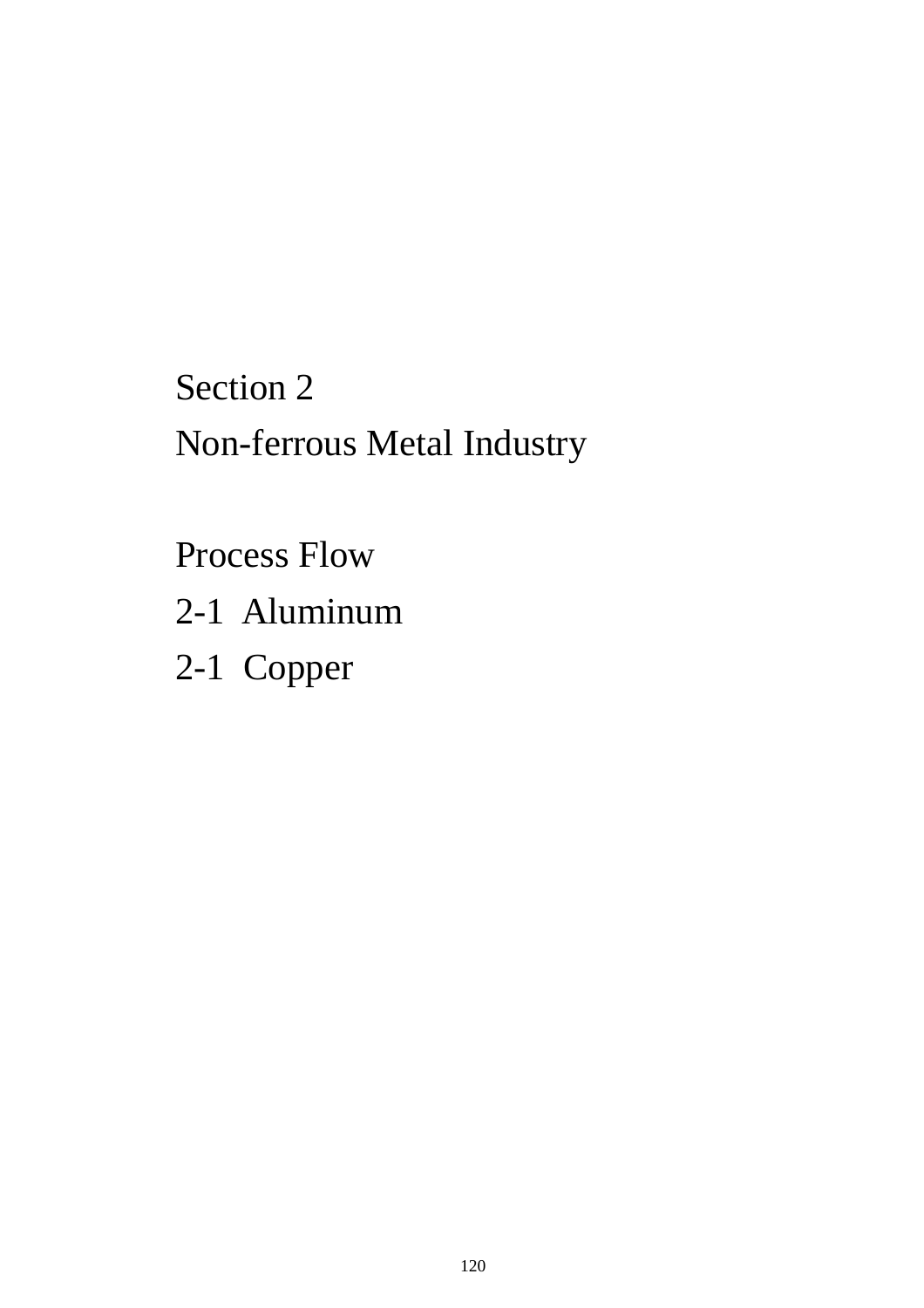## Section 2 Non-ferrous Metal Industry

Process Flow

2-1 Aluminum

2-1 Copper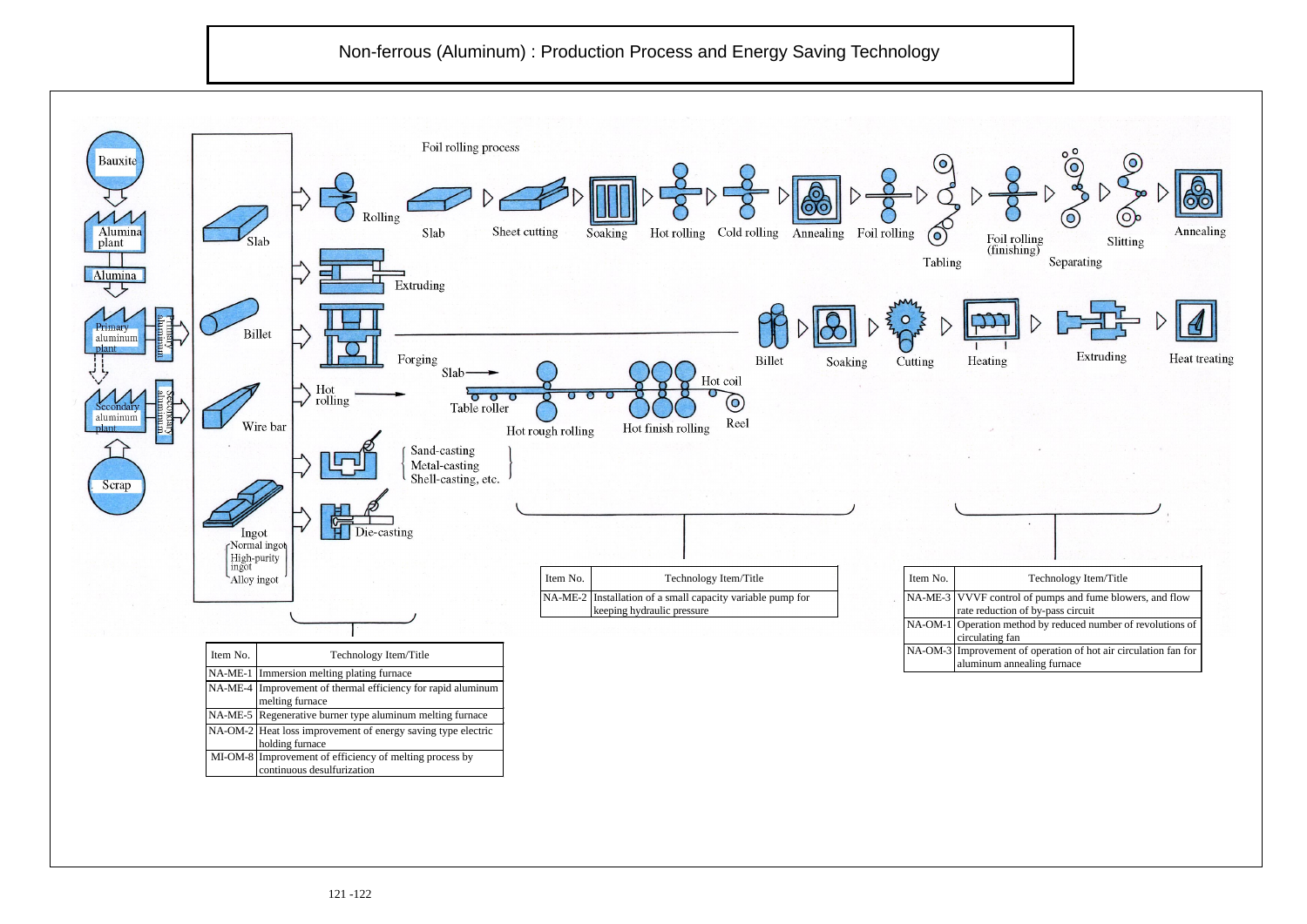## Non-ferrous (Aluminum) : Production Process and Energy Saving Technology

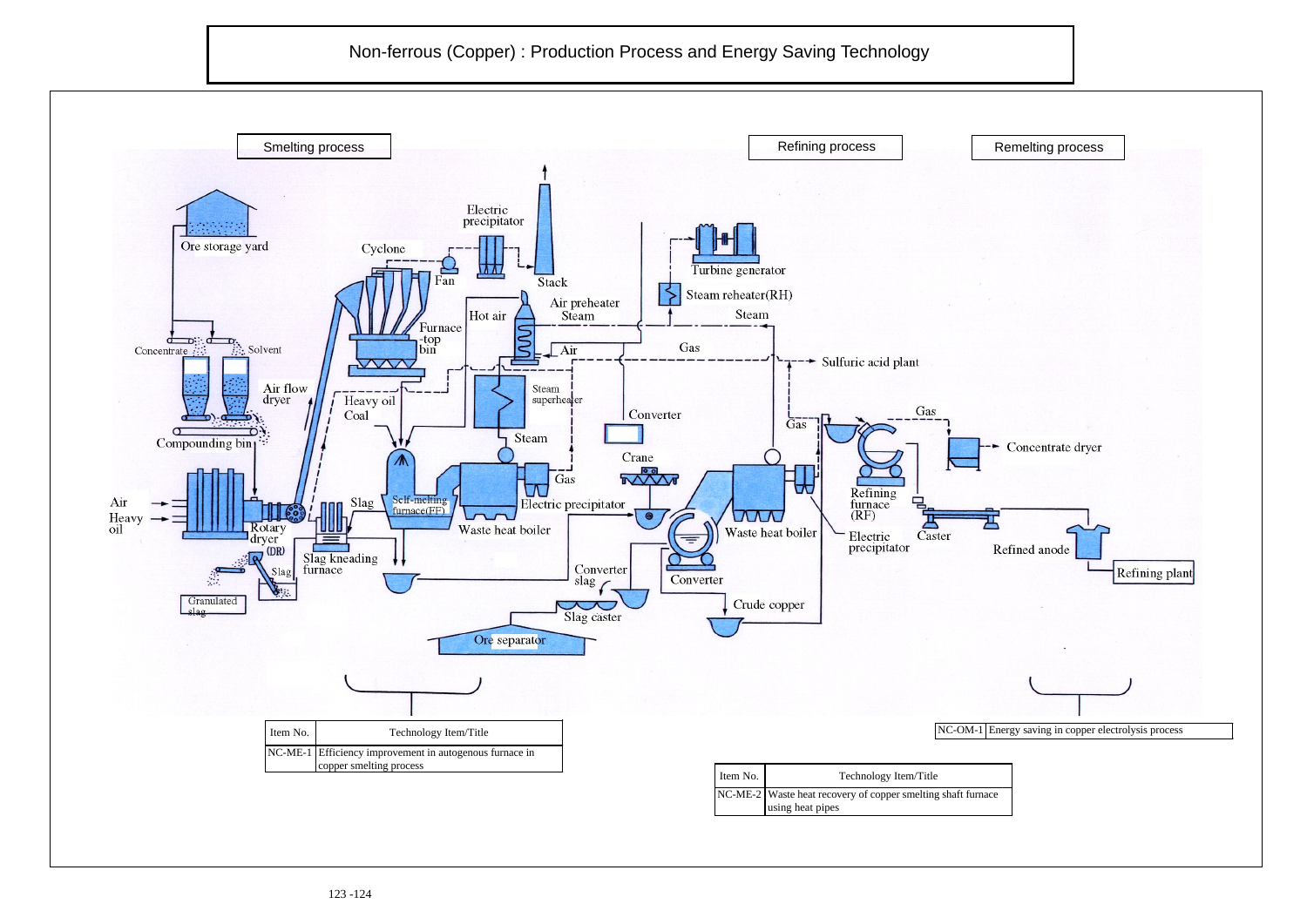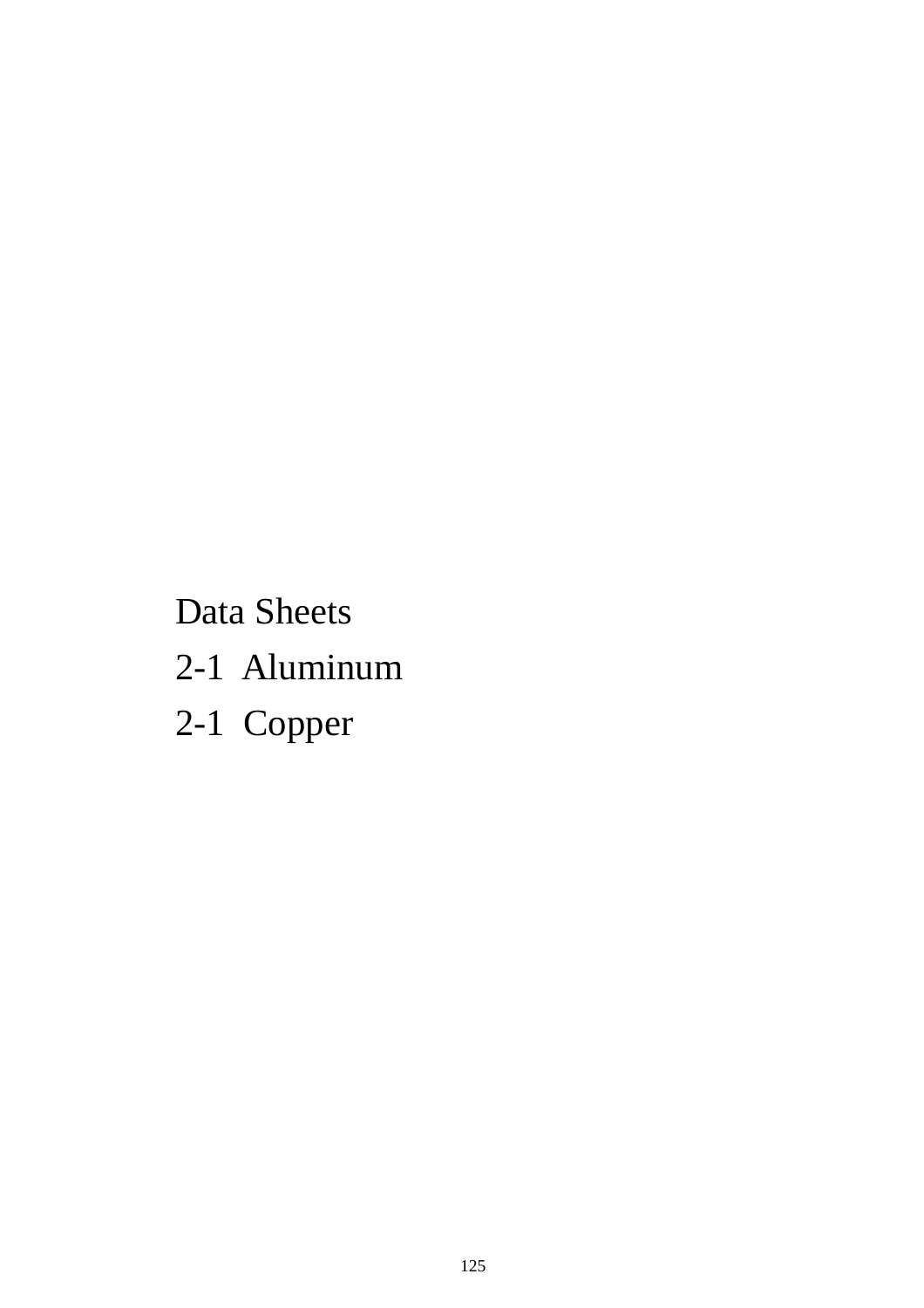Data Sheets

- 2-1 Aluminum
- 2-1 Copper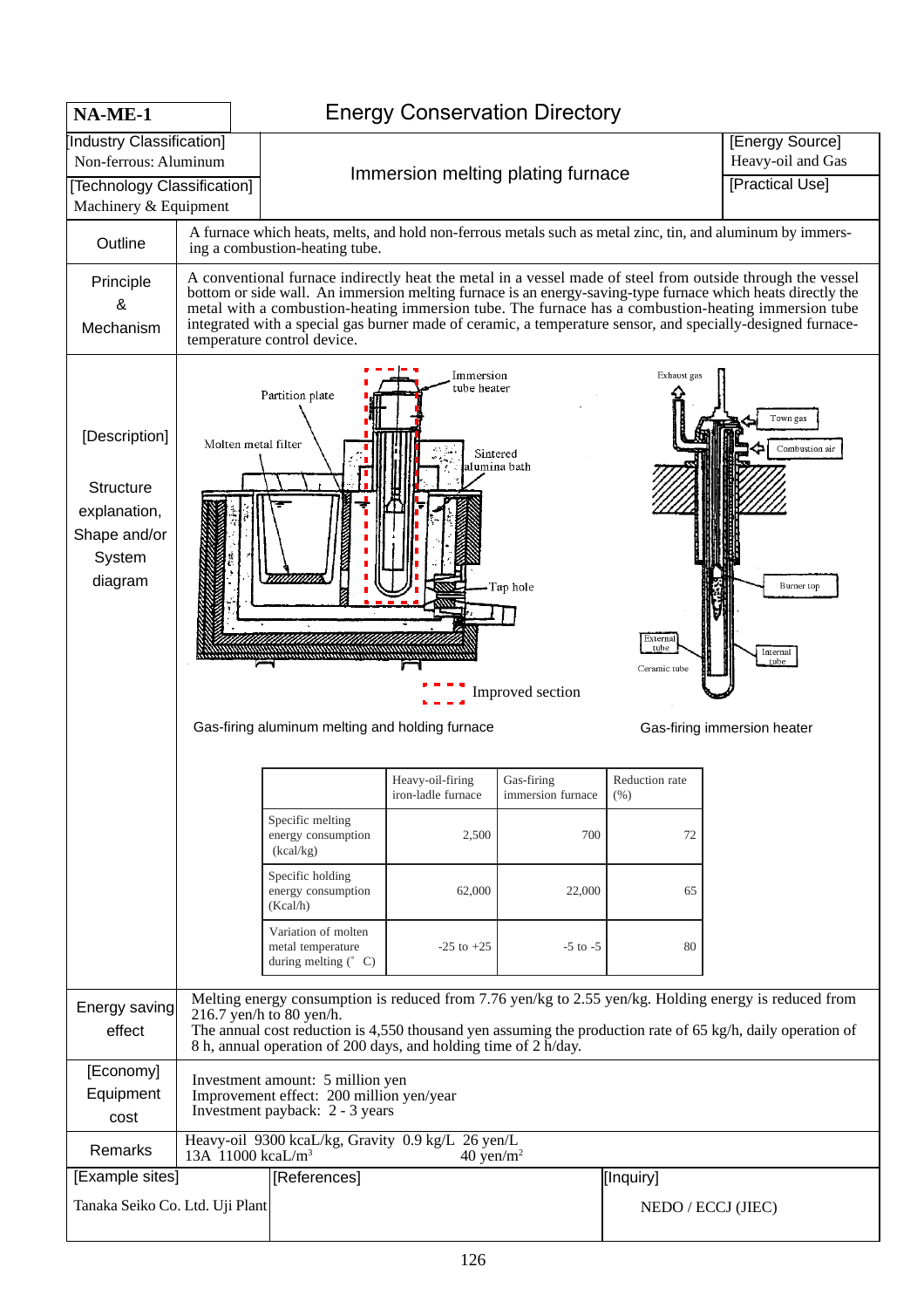| NA-ME-1                                                                                                   |                                                                                                                                                                                                                                                                                                                     | <b>Energy Conservation Directory</b>                                                                                                                                                                                                                                                                                                                                                                                                                                           |                                                         |                                 |                        |                                                                                                            |  |  |  |  |
|-----------------------------------------------------------------------------------------------------------|---------------------------------------------------------------------------------------------------------------------------------------------------------------------------------------------------------------------------------------------------------------------------------------------------------------------|--------------------------------------------------------------------------------------------------------------------------------------------------------------------------------------------------------------------------------------------------------------------------------------------------------------------------------------------------------------------------------------------------------------------------------------------------------------------------------|---------------------------------------------------------|---------------------------------|------------------------|------------------------------------------------------------------------------------------------------------|--|--|--|--|
| Industry Classification]<br>Non-ferrous: Aluminum<br>[Technology Classification]<br>Machinery & Equipment |                                                                                                                                                                                                                                                                                                                     | Immersion melting plating furnace                                                                                                                                                                                                                                                                                                                                                                                                                                              | [Energy Source]<br>Heavy-oil and Gas<br>[Practical Use] |                                 |                        |                                                                                                            |  |  |  |  |
| Outline                                                                                                   |                                                                                                                                                                                                                                                                                                                     | ing a combustion-heating tube.                                                                                                                                                                                                                                                                                                                                                                                                                                                 |                                                         |                                 |                        | A furnace which heats, melts, and hold non-ferrous metals such as metal zinc, tin, and aluminum by immers- |  |  |  |  |
| Principle<br>&<br>Mechanism                                                                               |                                                                                                                                                                                                                                                                                                                     | A conventional furnace indirectly heat the metal in a vessel made of steel from outside through the vessel<br>bottom or side wall. An immersion melting furnace is an energy-saving-type furnace which heats directly the<br>metal with a combustion-heating immersion tube. The furnace has a combustion-heating immersion tube<br>integrated with a special gas burner made of ceramic, a temperature sensor, and specially-designed furnace-<br>temperature control device. |                                                         |                                 |                        |                                                                                                            |  |  |  |  |
| [Description]<br><b>Structure</b><br>explanation,<br>Shape and/or<br>System<br>diagram                    |                                                                                                                                                                                                                                                                                                                     | Immersion<br>Exhaust gas<br>tube heater<br>Partition plate<br>Town gas<br>Molten metal filter<br>Combustion air<br>Sintered<br>ılumina bath<br>-Tap hole<br>Burner top<br>Externa<br>tube<br>Internal<br>tube<br>Ceramic tube<br>Improved section<br>Gas-firing aluminum melting and holding furnace<br>Gas-firing immersion heater                                                                                                                                            |                                                         |                                 |                        |                                                                                                            |  |  |  |  |
|                                                                                                           |                                                                                                                                                                                                                                                                                                                     |                                                                                                                                                                                                                                                                                                                                                                                                                                                                                | Heavy-oil-firing<br>iron-ladle furnace                  | Gas-firing<br>immersion furnace | Reduction rate<br>(% ) |                                                                                                            |  |  |  |  |
|                                                                                                           |                                                                                                                                                                                                                                                                                                                     | Specific melting<br>energy consumption<br>(kcal/kg)                                                                                                                                                                                                                                                                                                                                                                                                                            | 2,500                                                   | 700                             | 72                     |                                                                                                            |  |  |  |  |
|                                                                                                           |                                                                                                                                                                                                                                                                                                                     | Specific holding<br>energy consumption<br>(Kcal/h)                                                                                                                                                                                                                                                                                                                                                                                                                             | 62,000                                                  | 22,000                          | 65                     |                                                                                                            |  |  |  |  |
|                                                                                                           |                                                                                                                                                                                                                                                                                                                     | Variation of molten<br>metal temperature<br>during melting $(^{\circ}$ C)                                                                                                                                                                                                                                                                                                                                                                                                      | $-25$ to $+25$                                          | $-5$ to $-5$                    | 80                     |                                                                                                            |  |  |  |  |
| Energy saving<br>effect                                                                                   | Melting energy consumption is reduced from 7.76 yen/kg to 2.55 yen/kg. Holding energy is reduced from<br>216.7 yen/h to 80 yen/h.<br>The annual cost reduction is 4,550 thousand yen assuming the production rate of 65 kg/h, daily operation of<br>8 h, annual operation of 200 days, and holding time of 2 h/day. |                                                                                                                                                                                                                                                                                                                                                                                                                                                                                |                                                         |                                 |                        |                                                                                                            |  |  |  |  |
| [Economy]<br>Equipment<br>cost                                                                            | Investment amount: 5 million yen<br>Improvement effect: 200 million yen/year<br>Investment payback: 2 - 3 years                                                                                                                                                                                                     |                                                                                                                                                                                                                                                                                                                                                                                                                                                                                |                                                         |                                 |                        |                                                                                                            |  |  |  |  |
| Remarks                                                                                                   | 13A 11000 kcaL/m <sup>3</sup>                                                                                                                                                                                                                                                                                       | Heavy-oil 9300 kcaL/kg, Gravity 0.9 kg/L 26 yen/L                                                                                                                                                                                                                                                                                                                                                                                                                              | $40 \text{ yen/m}^2$                                    |                                 |                        |                                                                                                            |  |  |  |  |
| [Example sites]<br>Tanaka Seiko Co. Ltd. Uji Plant                                                        |                                                                                                                                                                                                                                                                                                                     | [References]                                                                                                                                                                                                                                                                                                                                                                                                                                                                   | [Inquiry]<br>NEDO / ECCJ (JIEC)                         |                                 |                        |                                                                                                            |  |  |  |  |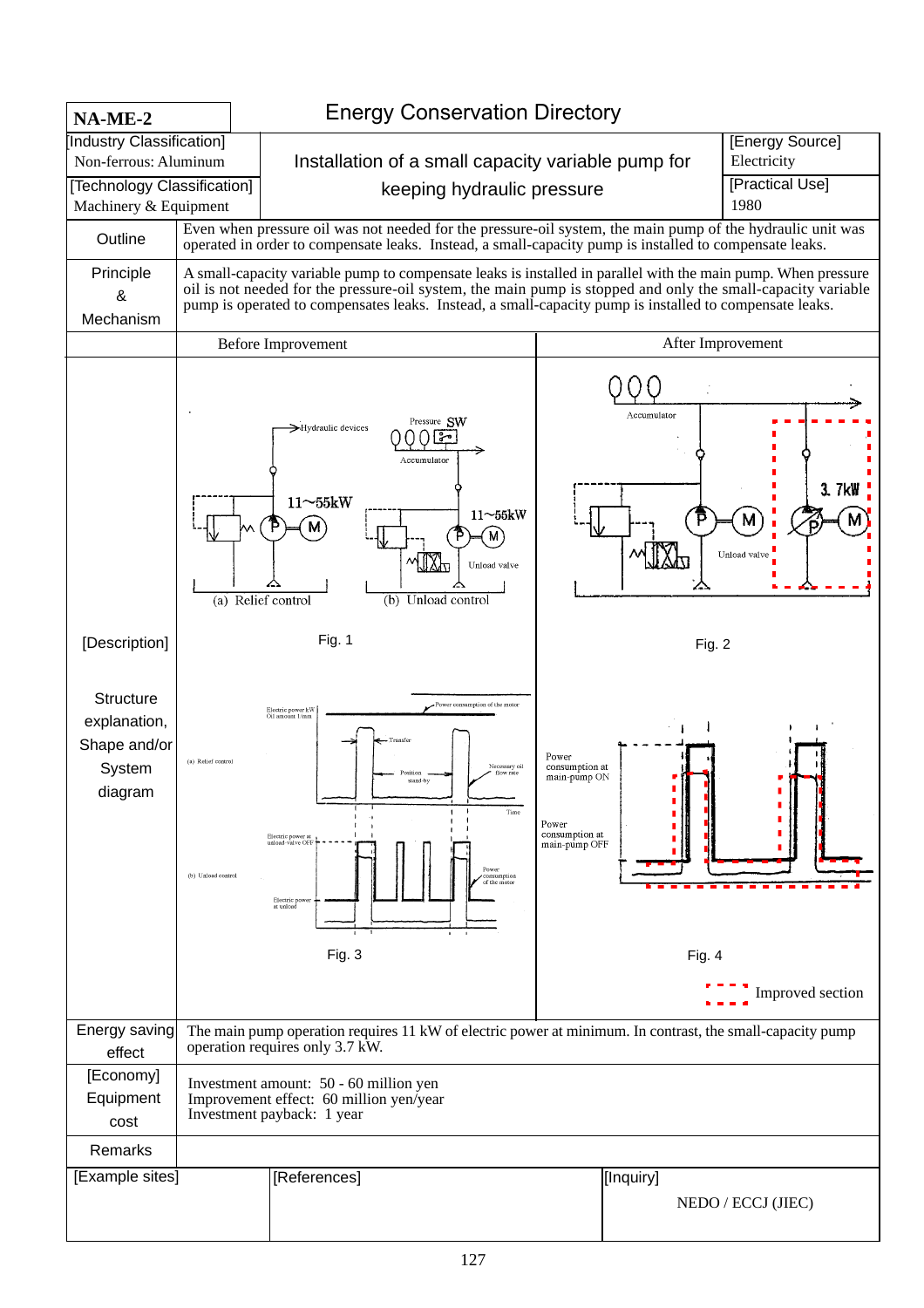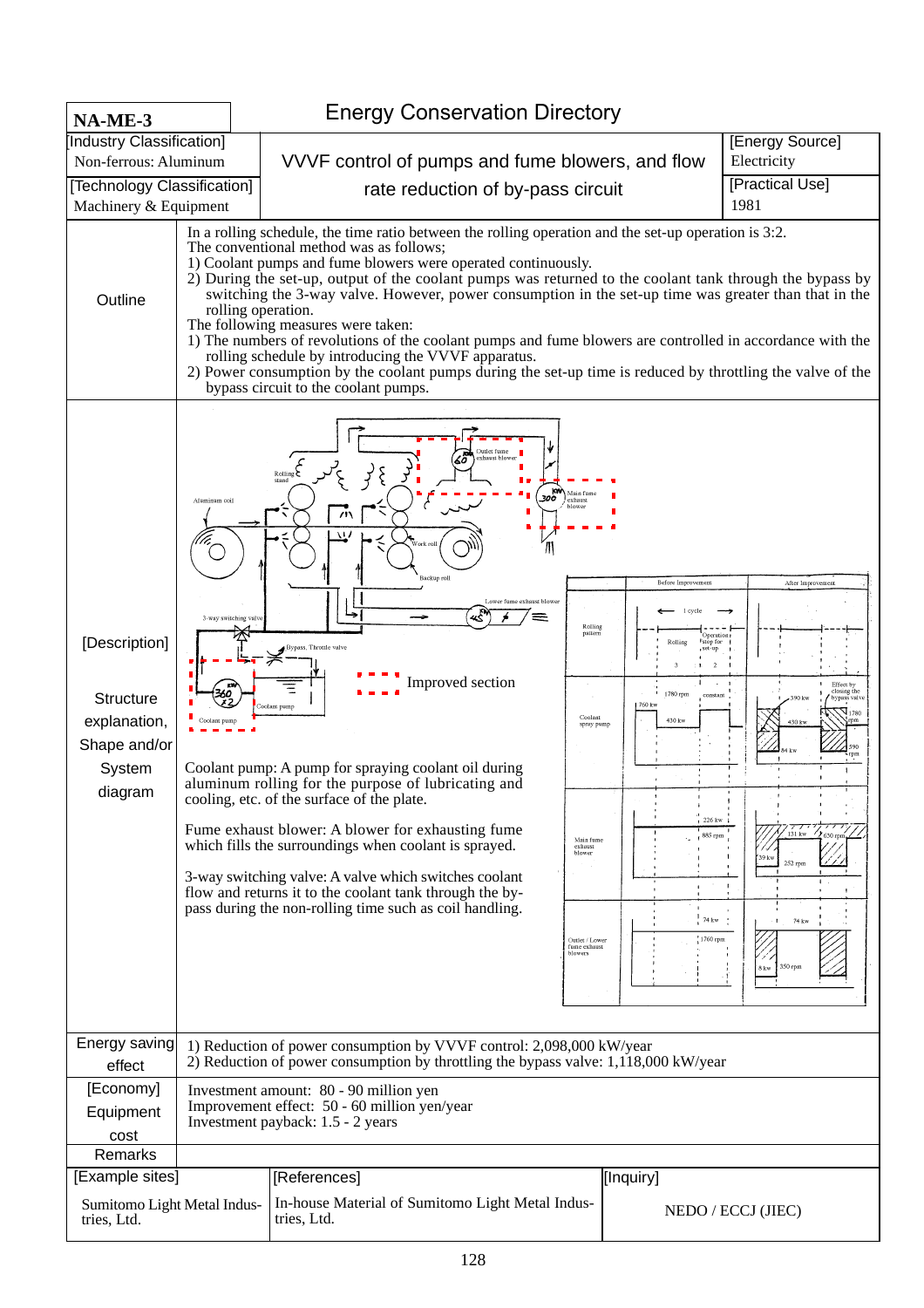| NA-ME-3                                                                                |                                                                                                                             | <b>Energy Conservation Directory</b>                                                                                                                                                                                                                                                                                                                                                                                                                                                                                                                                                                                                                                                                                                                                                                                        |                                                                                                                                                       |                                                                                                                                                                           |                                                                                                                                           |  |  |  |  |  |
|----------------------------------------------------------------------------------------|-----------------------------------------------------------------------------------------------------------------------------|-----------------------------------------------------------------------------------------------------------------------------------------------------------------------------------------------------------------------------------------------------------------------------------------------------------------------------------------------------------------------------------------------------------------------------------------------------------------------------------------------------------------------------------------------------------------------------------------------------------------------------------------------------------------------------------------------------------------------------------------------------------------------------------------------------------------------------|-------------------------------------------------------------------------------------------------------------------------------------------------------|---------------------------------------------------------------------------------------------------------------------------------------------------------------------------|-------------------------------------------------------------------------------------------------------------------------------------------|--|--|--|--|--|
| [Industry Classification]                                                              |                                                                                                                             |                                                                                                                                                                                                                                                                                                                                                                                                                                                                                                                                                                                                                                                                                                                                                                                                                             |                                                                                                                                                       | [Energy Source]                                                                                                                                                           |                                                                                                                                           |  |  |  |  |  |
| Non-ferrous: Aluminum                                                                  |                                                                                                                             | VVVF control of pumps and fume blowers, and flow                                                                                                                                                                                                                                                                                                                                                                                                                                                                                                                                                                                                                                                                                                                                                                            |                                                                                                                                                       | Electricity<br>[Practical Use]                                                                                                                                            |                                                                                                                                           |  |  |  |  |  |
| [Technology Classification]<br>Machinery & Equipment                                   |                                                                                                                             | rate reduction of by-pass circuit<br>1981                                                                                                                                                                                                                                                                                                                                                                                                                                                                                                                                                                                                                                                                                                                                                                                   |                                                                                                                                                       |                                                                                                                                                                           |                                                                                                                                           |  |  |  |  |  |
| Outline                                                                                |                                                                                                                             | In a rolling schedule, the time ratio between the rolling operation and the set-up operation is 3:2.<br>The conventional method was as follows;<br>1) Coolant pumps and fume blowers were operated continuously.<br>2) During the set-up, output of the coolant pumps was returned to the coolant tank through the bypass by<br>switching the 3-way valve. However, power consumption in the set-up time was greater than that in the<br>rolling operation.<br>The following measures were taken:<br>1) The numbers of revolutions of the coolant pumps and fume blowers are controlled in accordance with the<br>rolling schedule by introducing the VVVF apparatus.<br>2) Power consumption by the coolant pumps during the set-up time is reduced by throttling the valve of the<br>bypass circuit to the coolant pumps. |                                                                                                                                                       |                                                                                                                                                                           |                                                                                                                                           |  |  |  |  |  |
| [Description]<br><b>Structure</b><br>explanation,<br>Shape and/or<br>System<br>diagram | Aluminum coil<br>3-way switching valv                                                                                       | Outlet fume<br>exhaust blowe<br>$\sum_{\text{Rolling}}$<br>300<br>$\overline{u}$<br>w<br>Backup roll<br>Lower fume exhaust blower<br>لاجي<br>حوا<br>lypass, Throttle valve<br>Improved section<br>oolant pump<br>Coolant pump: A pump for spraying coolant oil during<br>aluminum rolling for the purpose of lubricating and<br>cooling, etc. of the surface of the plate.<br>Fume exhaust blower: A blower for exhausting fume<br>which fills the surroundings when coolant is sprayed.<br>3-way switching valve: A valve which switches coolant<br>flow and returns it to the coolant tank through the by-<br>pass during the non-rolling time such as coil handling.                                                                                                                                                     | kw\ Main fume<br>exhaus<br>Rolling<br>pattern<br>Coolant<br>spray pump<br>Main fume<br>exhaust<br>blower<br>Outlet / Lower<br>fume exhaust<br>blowers | Before Improvement<br>Rolling<br>istop for<br>, set-up<br>$\overline{2}$<br>1780 rpm<br>constant<br>760 kw<br>430 kw<br>$1226 \text{ kW}$<br>885 rpm<br>74 kw<br>1760 rpm | After Improvement<br>Effect by<br>closing the<br>390 kv<br>bypass valve<br>1780<br>131 kw<br>39 kw<br>252 rpm<br>74 kw<br>350 rpm<br>8 kw |  |  |  |  |  |
| Energy saving<br>effect                                                                |                                                                                                                             | 1) Reduction of power consumption by VVVF control: 2,098,000 kW/year<br>2) Reduction of power consumption by throttling the bypass valve: 1,118,000 kW/year                                                                                                                                                                                                                                                                                                                                                                                                                                                                                                                                                                                                                                                                 |                                                                                                                                                       |                                                                                                                                                                           |                                                                                                                                           |  |  |  |  |  |
| [Economy]<br>Equipment<br>cost                                                         | Investment amount: 80 - 90 million yen<br>Improvement effect: 50 - 60 million yen/year<br>Investment payback: 1.5 - 2 years |                                                                                                                                                                                                                                                                                                                                                                                                                                                                                                                                                                                                                                                                                                                                                                                                                             |                                                                                                                                                       |                                                                                                                                                                           |                                                                                                                                           |  |  |  |  |  |
| Remarks                                                                                |                                                                                                                             |                                                                                                                                                                                                                                                                                                                                                                                                                                                                                                                                                                                                                                                                                                                                                                                                                             |                                                                                                                                                       |                                                                                                                                                                           |                                                                                                                                           |  |  |  |  |  |
| [Example sites]                                                                        |                                                                                                                             | [References]                                                                                                                                                                                                                                                                                                                                                                                                                                                                                                                                                                                                                                                                                                                                                                                                                |                                                                                                                                                       | [Inquiry]                                                                                                                                                                 |                                                                                                                                           |  |  |  |  |  |
| Sumitomo Light Metal Indus-<br>tries, Ltd.                                             |                                                                                                                             | In-house Material of Sumitomo Light Metal Indus-<br>tries, Ltd.                                                                                                                                                                                                                                                                                                                                                                                                                                                                                                                                                                                                                                                                                                                                                             |                                                                                                                                                       | NEDO / ECCJ (JIEC)                                                                                                                                                        |                                                                                                                                           |  |  |  |  |  |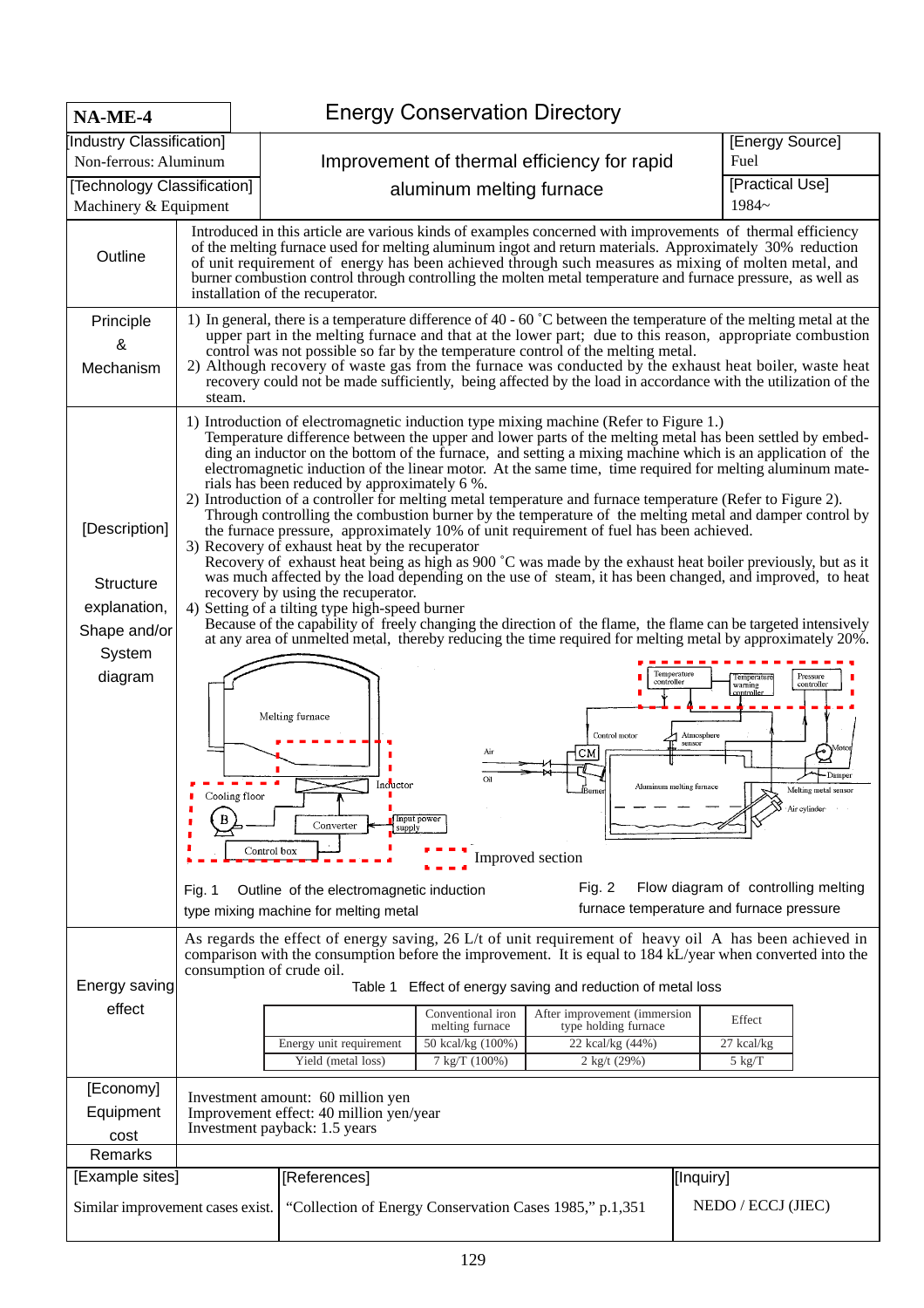| $NA-ME-4$                                                                              |                                                                                                                                                                                                                                                                                                                                                                                                                                                                                   | <b>Energy Conservation Directory</b>                                                                                                                                                                                                                                                                                                                                                                                                                                                                                                                                                                                                                                                                                                                                                                                                                                                                                                                                                                                                                                                                                                                                                                                                                                                                                                                                                                                                                                                                                                                                                                                                                                                                                                                                                        |  |  |  |  |  |  |  |
|----------------------------------------------------------------------------------------|-----------------------------------------------------------------------------------------------------------------------------------------------------------------------------------------------------------------------------------------------------------------------------------------------------------------------------------------------------------------------------------------------------------------------------------------------------------------------------------|---------------------------------------------------------------------------------------------------------------------------------------------------------------------------------------------------------------------------------------------------------------------------------------------------------------------------------------------------------------------------------------------------------------------------------------------------------------------------------------------------------------------------------------------------------------------------------------------------------------------------------------------------------------------------------------------------------------------------------------------------------------------------------------------------------------------------------------------------------------------------------------------------------------------------------------------------------------------------------------------------------------------------------------------------------------------------------------------------------------------------------------------------------------------------------------------------------------------------------------------------------------------------------------------------------------------------------------------------------------------------------------------------------------------------------------------------------------------------------------------------------------------------------------------------------------------------------------------------------------------------------------------------------------------------------------------------------------------------------------------------------------------------------------------|--|--|--|--|--|--|--|
| [Industry Classification]                                                              |                                                                                                                                                                                                                                                                                                                                                                                                                                                                                   | [Energy Source]                                                                                                                                                                                                                                                                                                                                                                                                                                                                                                                                                                                                                                                                                                                                                                                                                                                                                                                                                                                                                                                                                                                                                                                                                                                                                                                                                                                                                                                                                                                                                                                                                                                                                                                                                                             |  |  |  |  |  |  |  |
| Non-ferrous: Aluminum                                                                  |                                                                                                                                                                                                                                                                                                                                                                                                                                                                                   | Improvement of thermal efficiency for rapid<br>Fuel                                                                                                                                                                                                                                                                                                                                                                                                                                                                                                                                                                                                                                                                                                                                                                                                                                                                                                                                                                                                                                                                                                                                                                                                                                                                                                                                                                                                                                                                                                                                                                                                                                                                                                                                         |  |  |  |  |  |  |  |
| [Technology Classification]<br>Machinery & Equipment                                   |                                                                                                                                                                                                                                                                                                                                                                                                                                                                                   | [Practical Use]<br>aluminum melting furnace<br>1984~                                                                                                                                                                                                                                                                                                                                                                                                                                                                                                                                                                                                                                                                                                                                                                                                                                                                                                                                                                                                                                                                                                                                                                                                                                                                                                                                                                                                                                                                                                                                                                                                                                                                                                                                        |  |  |  |  |  |  |  |
| Outline                                                                                | Introduced in this article are various kinds of examples concerned with improvements of thermal efficiency<br>of the melting furnace used for melting aluminum ingot and return materials. Approximately 30% reduction<br>of unit requirement of energy has been achieved through such measures as mixing of molten metal, and<br>burner combustion control through controlling the molten metal temperature and furnace pressure, as well as<br>installation of the recuperator. |                                                                                                                                                                                                                                                                                                                                                                                                                                                                                                                                                                                                                                                                                                                                                                                                                                                                                                                                                                                                                                                                                                                                                                                                                                                                                                                                                                                                                                                                                                                                                                                                                                                                                                                                                                                             |  |  |  |  |  |  |  |
| Principle<br>&<br>Mechanism                                                            | steam.                                                                                                                                                                                                                                                                                                                                                                                                                                                                            | 1) In general, there is a temperature difference of 40 - 60 °C between the temperature of the melting metal at the<br>upper part in the melting furnace and that at the lower part; due to this reason, appropriate combustion<br>control was not possible so far by the temperature control of the melting metal.<br>2) Although recovery of waste gas from the furnace was conducted by the exhaust heat boiler, waste heat<br>recovery could not be made sufficiently, being affected by the load in accordance with the utilization of the                                                                                                                                                                                                                                                                                                                                                                                                                                                                                                                                                                                                                                                                                                                                                                                                                                                                                                                                                                                                                                                                                                                                                                                                                                              |  |  |  |  |  |  |  |
| [Description]<br><b>Structure</b><br>explanation,<br>Shape and/or<br>System<br>diagram | Outline of the electromagnetic induction<br>Fig. 1                                                                                                                                                                                                                                                                                                                                                                                                                                | 1) Introduction of electromagnetic induction type mixing machine (Refer to Figure 1.)<br>Temperature difference between the upper and lower parts of the melting metal has been settled by embed-<br>ding an inductor on the bottom of the furnace, and setting a mixing machine which is an application of the<br>electromagnetic induction of the linear motor. At the same time, time required for melting aluminum mate-<br>rials has been reduced by approximately 6 %.<br>2) Introduction of a controller for melting metal temperature and furnace temperature (Refer to Figure 2).<br>Through controlling the combustion burner by the temperature of the melting metal and damper control by<br>the furnace pressure, approximately 10% of unit requirement of fuel has been achieved.<br>3) Recovery of exhaust heat by the recuperator<br>Recovery of exhaust heat being as high as 900 $\degree$ C was made by the exhaust heat boiler previously, but as it<br>was much affected by the load depending on the use of steam, it has been changed, and improved, to heat<br>recovery by using the recuperator.<br>4) Setting of a tilting type high-speed burner<br>Because of the capability of freely changing the direction of the flame, the flame can be targeted intensively<br>at any area of unmelted metal, thereby reducing the time required for melting metal by approximately 20%.<br>Temperature<br>Pressure<br>Temperature<br>controller<br>controller<br>warning<br>controlle<br>Melting furnace<br>Control motor<br>Atmosphere<br>sensor<br>Moto<br>نہ<br>∕⊇<br>Air<br>-Damper<br>Oil<br>Inductor<br>Aluminum melting furnace<br>Melting metal sensor<br>Cooling floor<br>Air cylinder<br>Input power<br>Converter<br>supply<br>Control box<br>Improved section |  |  |  |  |  |  |  |
| Energy saving<br>effect                                                                |                                                                                                                                                                                                                                                                                                                                                                                                                                                                                   | furnace temperature and furnace pressure<br>type mixing machine for melting metal<br>As regards the effect of energy saving, 26 L/t of unit requirement of heavy oil A has been achieved in<br>comparison with the consumption before the improvement. It is equal to 184 kL/year when converted into the<br>consumption of crude oil.<br>Effect of energy saving and reduction of metal loss<br>Table 1<br>Conventional iron<br>After improvement (immersion<br>Effect<br>melting furnace<br>type holding furnace<br>50 kcal/kg (100%)<br>Energy unit requirement<br>22 kcal/kg (44%)<br>27 kcal/kg                                                                                                                                                                                                                                                                                                                                                                                                                                                                                                                                                                                                                                                                                                                                                                                                                                                                                                                                                                                                                                                                                                                                                                                        |  |  |  |  |  |  |  |
|                                                                                        |                                                                                                                                                                                                                                                                                                                                                                                                                                                                                   | 7 kg/T (100%)<br>Yield (metal loss)<br>2 kg/t (29%)<br>$5 \text{ kg/T}$                                                                                                                                                                                                                                                                                                                                                                                                                                                                                                                                                                                                                                                                                                                                                                                                                                                                                                                                                                                                                                                                                                                                                                                                                                                                                                                                                                                                                                                                                                                                                                                                                                                                                                                     |  |  |  |  |  |  |  |
| [Economy]<br>Equipment<br>cost                                                         |                                                                                                                                                                                                                                                                                                                                                                                                                                                                                   | Investment amount: 60 million yen<br>Improvement effect: 40 million yen/year<br>Investment payback: 1.5 years                                                                                                                                                                                                                                                                                                                                                                                                                                                                                                                                                                                                                                                                                                                                                                                                                                                                                                                                                                                                                                                                                                                                                                                                                                                                                                                                                                                                                                                                                                                                                                                                                                                                               |  |  |  |  |  |  |  |
| Remarks                                                                                |                                                                                                                                                                                                                                                                                                                                                                                                                                                                                   |                                                                                                                                                                                                                                                                                                                                                                                                                                                                                                                                                                                                                                                                                                                                                                                                                                                                                                                                                                                                                                                                                                                                                                                                                                                                                                                                                                                                                                                                                                                                                                                                                                                                                                                                                                                             |  |  |  |  |  |  |  |
|                                                                                        | [Example sites]<br>[References]<br>[[Inquiry]<br>NEDO / ECCJ (JIEC)<br>"Collection of Energy Conservation Cases 1985," p.1,351<br>Similar improvement cases exist.                                                                                                                                                                                                                                                                                                                |                                                                                                                                                                                                                                                                                                                                                                                                                                                                                                                                                                                                                                                                                                                                                                                                                                                                                                                                                                                                                                                                                                                                                                                                                                                                                                                                                                                                                                                                                                                                                                                                                                                                                                                                                                                             |  |  |  |  |  |  |  |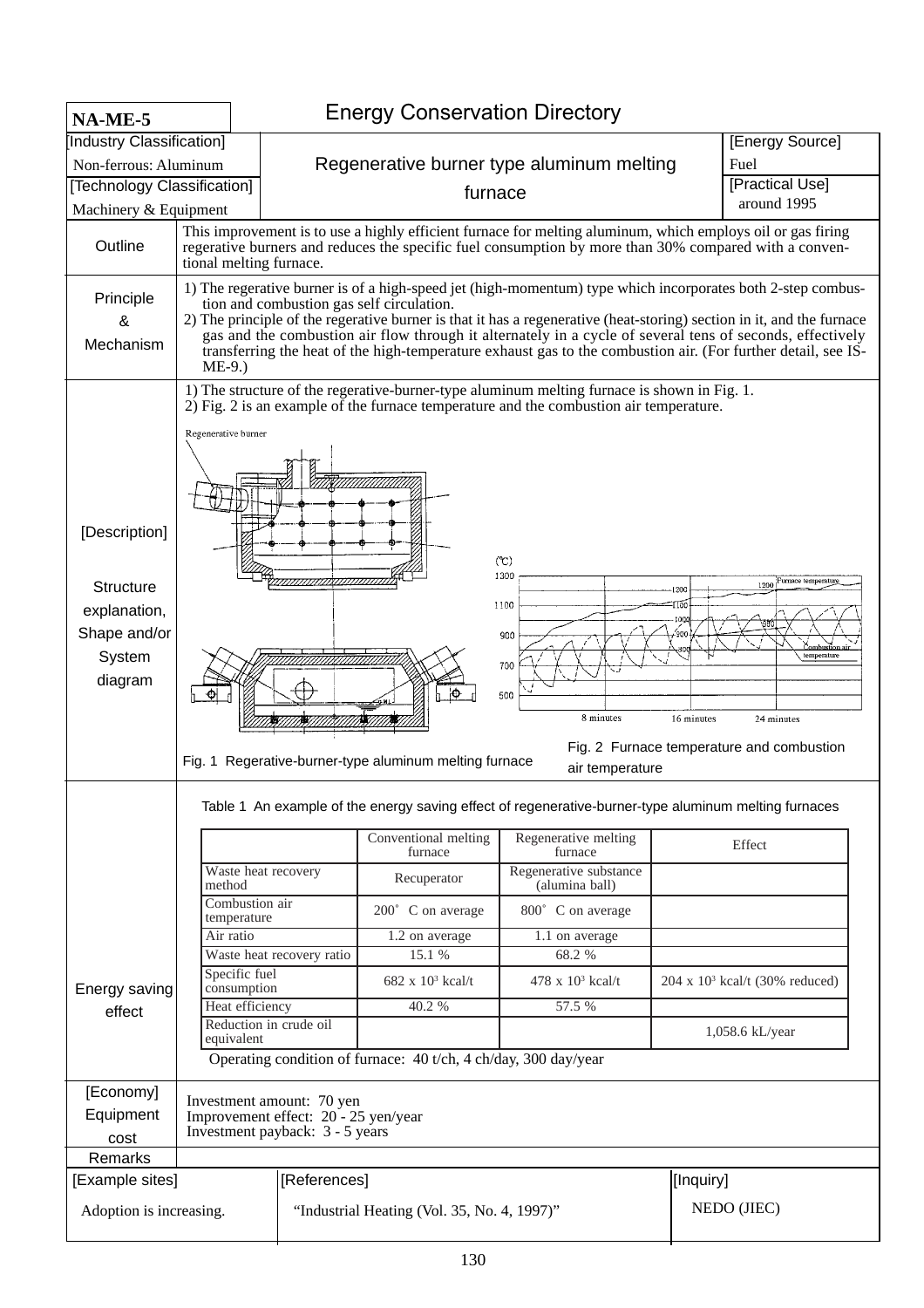| NA-ME-5                                                                                |                                                                                  | <b>Energy Conservation Directory</b>                                                                                                                                                                                                                                                                                                                                                                                                                                                                            |                                           |                                                                                                      |                 |                                        |  |  |  |  |  |
|----------------------------------------------------------------------------------------|----------------------------------------------------------------------------------|-----------------------------------------------------------------------------------------------------------------------------------------------------------------------------------------------------------------------------------------------------------------------------------------------------------------------------------------------------------------------------------------------------------------------------------------------------------------------------------------------------------------|-------------------------------------------|------------------------------------------------------------------------------------------------------|-----------------|----------------------------------------|--|--|--|--|--|
| Industry Classification]                                                               |                                                                                  |                                                                                                                                                                                                                                                                                                                                                                                                                                                                                                                 |                                           |                                                                                                      |                 | [Energy Source]                        |  |  |  |  |  |
| Non-ferrous: Aluminum                                                                  |                                                                                  |                                                                                                                                                                                                                                                                                                                                                                                                                                                                                                                 | Regenerative burner type aluminum melting |                                                                                                      | Fuel            |                                        |  |  |  |  |  |
| [Technology Classification]                                                            |                                                                                  |                                                                                                                                                                                                                                                                                                                                                                                                                                                                                                                 | furnace                                   |                                                                                                      | [Practical Use] |                                        |  |  |  |  |  |
| Machinery & Equipment                                                                  |                                                                                  |                                                                                                                                                                                                                                                                                                                                                                                                                                                                                                                 |                                           |                                                                                                      |                 | around 1995                            |  |  |  |  |  |
| Outline                                                                                | tional melting furnace.                                                          | This improvement is to use a highly efficient furnace for melting aluminum, which employs oil or gas firing<br>regerative burners and reduces the specific fuel consumption by more than 30% compared with a conven-                                                                                                                                                                                                                                                                                            |                                           |                                                                                                      |                 |                                        |  |  |  |  |  |
| Principle<br>&<br>Mechanism                                                            | $ME-9.$ )                                                                        | 1) The regerative burner is of a high-speed jet (high-momentum) type which incorporates both 2-step combus-<br>tion and combustion gas self circulation.<br>2) The principle of the regerative burner is that it has a regenerative (heat-storing) section in it, and the furnace<br>gas and the combustion air flow through it alternately in a cycle of several tens of seconds, effectively<br>transferring the heat of the high-temperature exhaust gas to the combustion air. (For further detail, see IS- |                                           |                                                                                                      |                 |                                        |  |  |  |  |  |
| [Description]<br><b>Structure</b><br>explanation,<br>Shape and/or<br>System<br>diagram | Regenerative burner<br>Regerative-burner-type aluminum melting furnace<br>Fig. 1 | 1) The structure of the regerative-burner-type aluminum melting furnace is shown in Fig. 1.<br>2) Fig. 2 is an example of the furnace temperature and the combustion air temperature.<br>(C)<br>1300<br>1200 Furnace temperature<br>1200<br>1100<br>10QC<br>900<br>temperature<br>700<br>ю<br>500<br>8 minutes<br>16 minutes<br>24 minutes<br>Fig. 2 Furnace temperature and combustion                                                                                                                         |                                           |                                                                                                      |                 |                                        |  |  |  |  |  |
|                                                                                        |                                                                                  |                                                                                                                                                                                                                                                                                                                                                                                                                                                                                                                 |                                           | Table 1 An example of the energy saving effect of regenerative-burner-type aluminum melting furnaces |                 |                                        |  |  |  |  |  |
|                                                                                        |                                                                                  |                                                                                                                                                                                                                                                                                                                                                                                                                                                                                                                 | Conventional melting<br>furnace           | Regenerative melting<br>furnace                                                                      |                 | Effect                                 |  |  |  |  |  |
|                                                                                        | Waste heat recovery<br>method                                                    |                                                                                                                                                                                                                                                                                                                                                                                                                                                                                                                 | Recuperator                               | Regenerative substance<br>(alumina ball)                                                             |                 |                                        |  |  |  |  |  |
|                                                                                        | Combustion air<br>temperature                                                    |                                                                                                                                                                                                                                                                                                                                                                                                                                                                                                                 | 200° C on average                         | 800° C on average                                                                                    |                 |                                        |  |  |  |  |  |
|                                                                                        | Air ratio                                                                        |                                                                                                                                                                                                                                                                                                                                                                                                                                                                                                                 | 1.2 on average                            | 1.1 on average                                                                                       |                 |                                        |  |  |  |  |  |
|                                                                                        |                                                                                  | Waste heat recovery ratio                                                                                                                                                                                                                                                                                                                                                                                                                                                                                       | 15.1 %                                    | 68.2 %                                                                                               |                 |                                        |  |  |  |  |  |
| Energy saving                                                                          | Specific fuel<br>consumption                                                     |                                                                                                                                                                                                                                                                                                                                                                                                                                                                                                                 | $682 \times 10^3$ kcal/t                  | 478 x $10^3$ kcal/t                                                                                  |                 | $204 \times 10^3$ kcal/t (30% reduced) |  |  |  |  |  |
| effect                                                                                 | Heat efficiency                                                                  |                                                                                                                                                                                                                                                                                                                                                                                                                                                                                                                 | 40.2 %                                    | 57.5 %                                                                                               |                 |                                        |  |  |  |  |  |
|                                                                                        | Reduction in crude oil                                                           |                                                                                                                                                                                                                                                                                                                                                                                                                                                                                                                 |                                           |                                                                                                      |                 | 1,058.6 kL/year                        |  |  |  |  |  |
|                                                                                        |                                                                                  | equivalent<br>Operating condition of furnace: 40 t/ch, 4 ch/day, 300 day/year                                                                                                                                                                                                                                                                                                                                                                                                                                   |                                           |                                                                                                      |                 |                                        |  |  |  |  |  |
|                                                                                        |                                                                                  |                                                                                                                                                                                                                                                                                                                                                                                                                                                                                                                 |                                           |                                                                                                      |                 |                                        |  |  |  |  |  |
| [Economy]                                                                              |                                                                                  | Investment amount: 70 yen                                                                                                                                                                                                                                                                                                                                                                                                                                                                                       |                                           |                                                                                                      |                 |                                        |  |  |  |  |  |
| Equipment                                                                              |                                                                                  | Improvement effect: 20 - 25 yen/year<br>Investment payback: 3 - 5 years                                                                                                                                                                                                                                                                                                                                                                                                                                         |                                           |                                                                                                      |                 |                                        |  |  |  |  |  |
| cost                                                                                   |                                                                                  |                                                                                                                                                                                                                                                                                                                                                                                                                                                                                                                 |                                           |                                                                                                      |                 |                                        |  |  |  |  |  |
| Remarks                                                                                |                                                                                  |                                                                                                                                                                                                                                                                                                                                                                                                                                                                                                                 |                                           |                                                                                                      |                 |                                        |  |  |  |  |  |
| [Example sites]                                                                        |                                                                                  | [References]                                                                                                                                                                                                                                                                                                                                                                                                                                                                                                    |                                           |                                                                                                      | [Inquiry]       |                                        |  |  |  |  |  |
| Adoption is increasing.                                                                |                                                                                  | NEDO (JIEC)<br>"Industrial Heating (Vol. 35, No. 4, 1997)"                                                                                                                                                                                                                                                                                                                                                                                                                                                      |                                           |                                                                                                      |                 |                                        |  |  |  |  |  |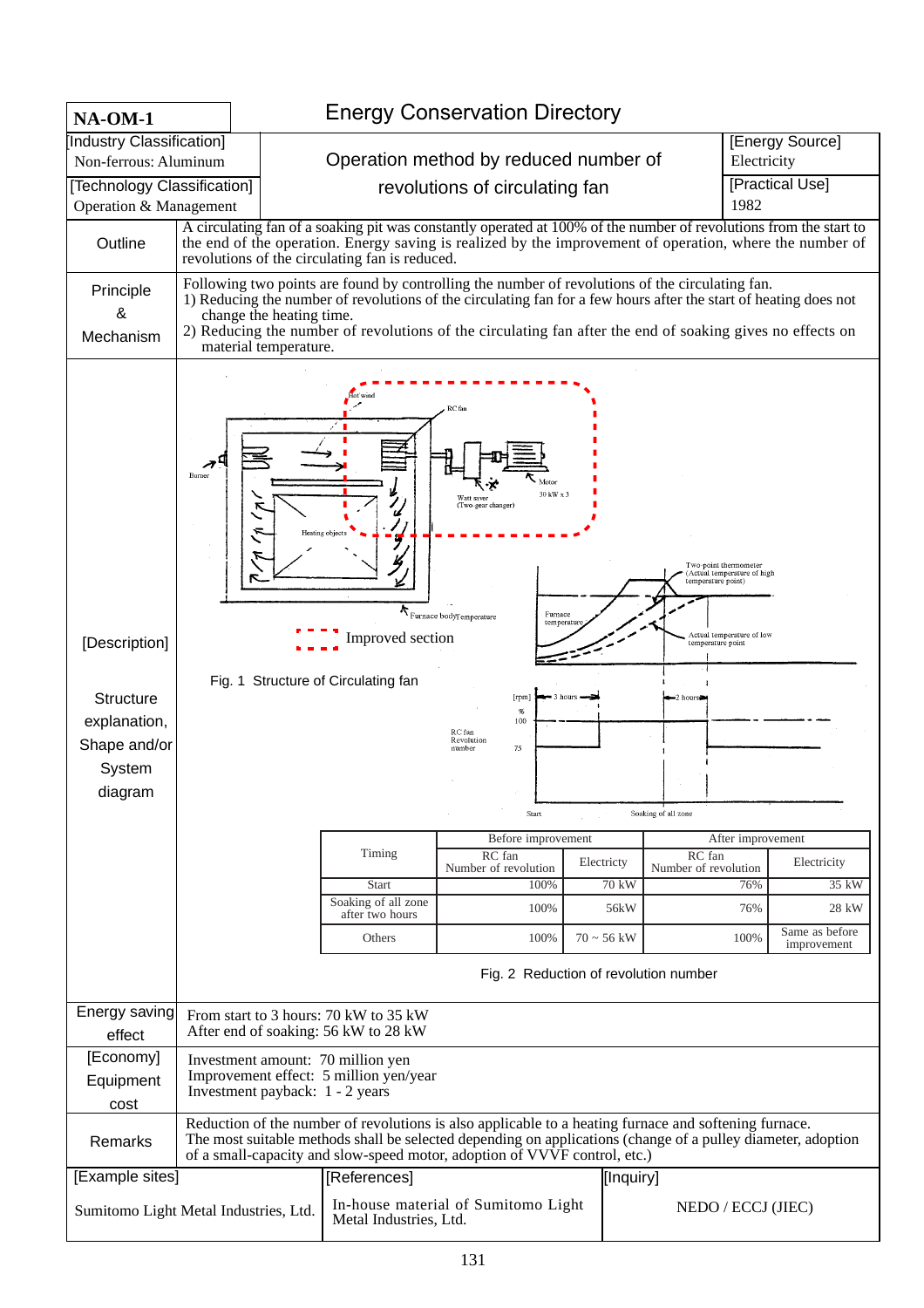| <b>NA-OM-1</b>                                                                  |        |                                                                                                                                                                                                                                                                                                                                                                                       |                                                                                                                                                               | <b>Energy Conservation Directory</b>                                                                                                                                                                                                                                                                |                                                           |                                                                                                                                                                                  |                                                                                                                                                                      |  |  |  |  |
|---------------------------------------------------------------------------------|--------|---------------------------------------------------------------------------------------------------------------------------------------------------------------------------------------------------------------------------------------------------------------------------------------------------------------------------------------------------------------------------------------|---------------------------------------------------------------------------------------------------------------------------------------------------------------|-----------------------------------------------------------------------------------------------------------------------------------------------------------------------------------------------------------------------------------------------------------------------------------------------------|-----------------------------------------------------------|----------------------------------------------------------------------------------------------------------------------------------------------------------------------------------|----------------------------------------------------------------------------------------------------------------------------------------------------------------------|--|--|--|--|
| [Industry Classification]                                                       |        |                                                                                                                                                                                                                                                                                                                                                                                       |                                                                                                                                                               |                                                                                                                                                                                                                                                                                                     |                                                           | [Energy Source]                                                                                                                                                                  |                                                                                                                                                                      |  |  |  |  |
| Non-ferrous: Aluminum                                                           |        |                                                                                                                                                                                                                                                                                                                                                                                       |                                                                                                                                                               | Operation method by reduced number of                                                                                                                                                                                                                                                               |                                                           |                                                                                                                                                                                  | Electricity                                                                                                                                                          |  |  |  |  |
| [Technology Classification]<br>Operation & Management                           |        |                                                                                                                                                                                                                                                                                                                                                                                       | revolutions of circulating fan                                                                                                                                |                                                                                                                                                                                                                                                                                                     |                                                           |                                                                                                                                                                                  | [Practical Use]<br>1982                                                                                                                                              |  |  |  |  |
| Outline                                                                         |        |                                                                                                                                                                                                                                                                                                                                                                                       |                                                                                                                                                               | A circulating fan of a soaking pit was constantly operated at 100% of the number of revolutions from the start to<br>the end of the operation. Energy saving is realized by the improvement of operation, where the number of<br>revolutions of the circulating fan is reduced.                     |                                                           |                                                                                                                                                                                  |                                                                                                                                                                      |  |  |  |  |
| Principle<br>&<br>Mechanism                                                     |        | Following two points are found by controlling the number of revolutions of the circulating fan.<br>1) Reducing the number of revolutions of the circulating fan for a few hours after the start of heating does not<br>change the heating time.<br>2) Reducing the number of revolutions of the circulating fan after the end of soaking gives no effects on<br>material temperature. |                                                                                                                                                               |                                                                                                                                                                                                                                                                                                     |                                                           |                                                                                                                                                                                  |                                                                                                                                                                      |  |  |  |  |
| [Description]<br>Structure<br>explanation,<br>Shape and/or<br>System<br>diagram | Burner |                                                                                                                                                                                                                                                                                                                                                                                       | Ú<br>Heating objects<br>Improved section<br>Fig. 1 Structure of Circulating fan<br>Timing<br><b>Start</b><br>Soaking of all zone<br>after two hours<br>Others | RC fan<br>30 kW x 3<br>Watt saver<br>(Two-gear changer)<br>$\boldsymbol{\kappa}_{\text{Furnace bodyTemperature}}$<br>Furnace<br>temperatur<br>[rpm]<br>$\%$<br>100<br>RC fan<br>Revolution<br>75<br>number<br>Start<br>Before improvement<br>RC fan<br>Number of revolution<br>100%<br>100%<br>100% | 3 hours<br>Electricty<br>70 kW<br>56kW<br>$70 \sim 56$ kW | Two-point thermometer<br>temperature point)<br>temperature point<br>$-2$ hours<br>Soaking of all zone<br>RC fan<br>Number of revolution<br>Fig. 2 Reduction of revolution number | Actual temperature of high<br>Actual temperature of low<br>After improvement<br>Electricity<br>35 kW<br>76%<br>28 kW<br>76%<br>Same as before<br>100%<br>improvement |  |  |  |  |
| Energy saving                                                                   |        |                                                                                                                                                                                                                                                                                                                                                                                       | From start to 3 hours: 70 kW to 35 kW                                                                                                                         |                                                                                                                                                                                                                                                                                                     |                                                           |                                                                                                                                                                                  |                                                                                                                                                                      |  |  |  |  |
| effect                                                                          |        |                                                                                                                                                                                                                                                                                                                                                                                       | After end of soaking: 56 kW to 28 kW                                                                                                                          |                                                                                                                                                                                                                                                                                                     |                                                           |                                                                                                                                                                                  |                                                                                                                                                                      |  |  |  |  |
| [Economy]<br>Equipment<br>cost                                                  |        | Investment payback: 1 - 2 years                                                                                                                                                                                                                                                                                                                                                       | Investment amount: 70 million yen<br>Improvement effect: 5 million yen/year                                                                                   |                                                                                                                                                                                                                                                                                                     |                                                           |                                                                                                                                                                                  |                                                                                                                                                                      |  |  |  |  |
| Remarks                                                                         |        |                                                                                                                                                                                                                                                                                                                                                                                       |                                                                                                                                                               | Reduction of the number of revolutions is also applicable to a heating furnace and softening furnace.<br>The most suitable methods shall be selected depending on applications (change of a pulley diameter, adoption<br>of a small-capacity and slow-speed motor, adoption of VVVF control, etc.)  |                                                           |                                                                                                                                                                                  |                                                                                                                                                                      |  |  |  |  |
| [Example sites]                                                                 |        |                                                                                                                                                                                                                                                                                                                                                                                       | [References]                                                                                                                                                  |                                                                                                                                                                                                                                                                                                     |                                                           | [Inquiry]                                                                                                                                                                        |                                                                                                                                                                      |  |  |  |  |
| Sumitomo Light Metal Industries, Ltd.                                           |        |                                                                                                                                                                                                                                                                                                                                                                                       | Metal Industries, Ltd.                                                                                                                                        | In-house material of Sumitomo Light                                                                                                                                                                                                                                                                 |                                                           |                                                                                                                                                                                  | NEDO / ECCJ (JIEC)                                                                                                                                                   |  |  |  |  |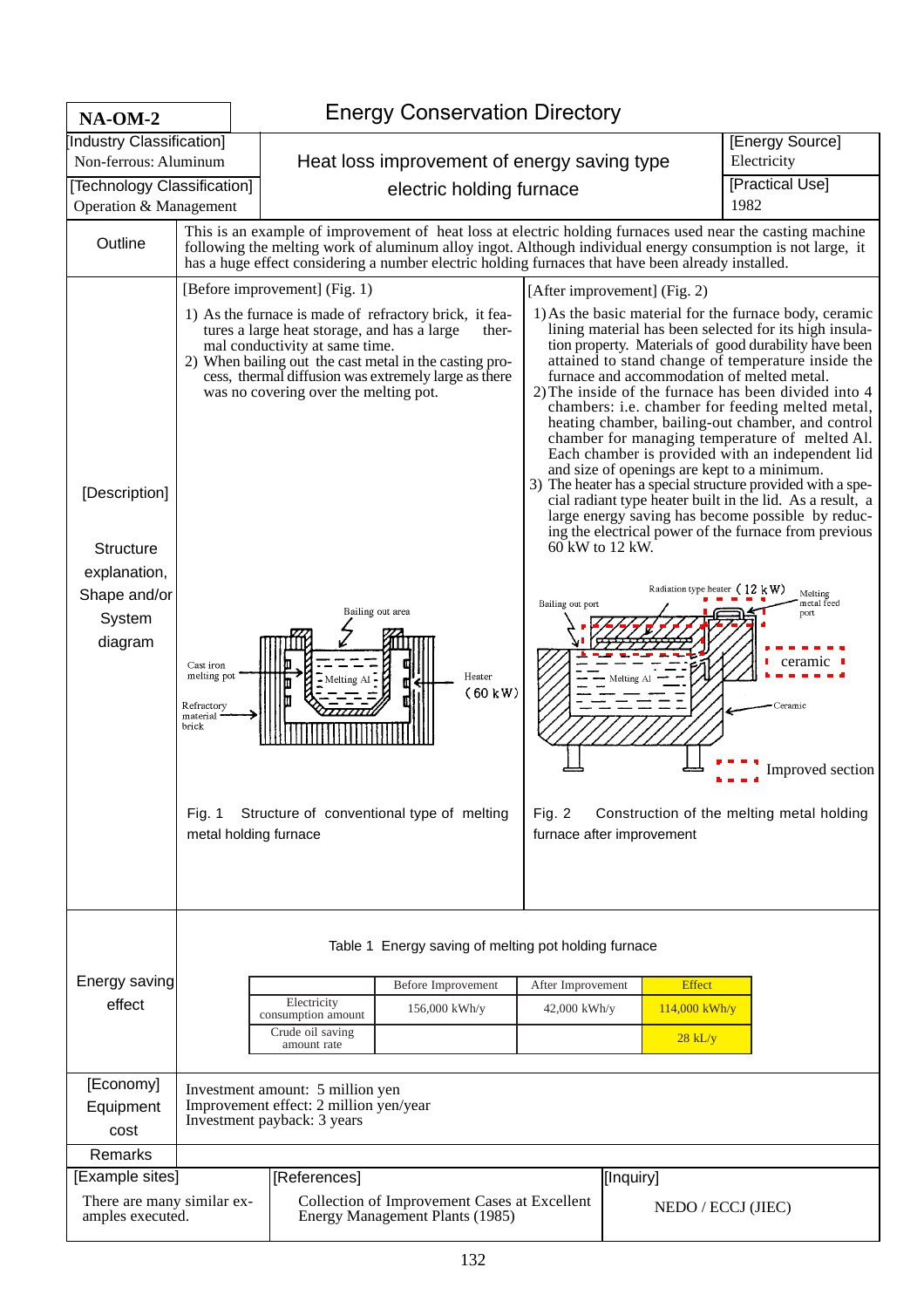| $NA-OM-2$                                                                       |                                                                                                | <b>Energy Conservation Directory</b>                                                                                                                                    |                                                                                                                                                                                                                                                                                   |                                                                                                                                                                                                                          |                                                                               |                                                                                                                                                                                                                                                                                                                                                                                                                                                                                                                                                                                                                                                                                                                                                                                                                                                                                                                                                                                                               |  |
|---------------------------------------------------------------------------------|------------------------------------------------------------------------------------------------|-------------------------------------------------------------------------------------------------------------------------------------------------------------------------|-----------------------------------------------------------------------------------------------------------------------------------------------------------------------------------------------------------------------------------------------------------------------------------|--------------------------------------------------------------------------------------------------------------------------------------------------------------------------------------------------------------------------|-------------------------------------------------------------------------------|---------------------------------------------------------------------------------------------------------------------------------------------------------------------------------------------------------------------------------------------------------------------------------------------------------------------------------------------------------------------------------------------------------------------------------------------------------------------------------------------------------------------------------------------------------------------------------------------------------------------------------------------------------------------------------------------------------------------------------------------------------------------------------------------------------------------------------------------------------------------------------------------------------------------------------------------------------------------------------------------------------------|--|
| [Industry Classification]<br>Non-ferrous: Aluminum                              |                                                                                                |                                                                                                                                                                         |                                                                                                                                                                                                                                                                                   |                                                                                                                                                                                                                          | [Energy Source]<br>Electricity<br>Heat loss improvement of energy saving type |                                                                                                                                                                                                                                                                                                                                                                                                                                                                                                                                                                                                                                                                                                                                                                                                                                                                                                                                                                                                               |  |
| [Technology Classification]<br>Operation & Management                           |                                                                                                |                                                                                                                                                                         | electric holding furnace                                                                                                                                                                                                                                                          |                                                                                                                                                                                                                          |                                                                               | [Practical Use]<br>1982                                                                                                                                                                                                                                                                                                                                                                                                                                                                                                                                                                                                                                                                                                                                                                                                                                                                                                                                                                                       |  |
| Outline                                                                         |                                                                                                | has a huge effect considering a number electric holding furnaces that have been already installed.                                                                      |                                                                                                                                                                                                                                                                                   | This is an example of improvement of heat loss at electric holding furnaces used near the casting machine<br>following the melting work of aluminum alloy ingot. Although individual energy consumption is not large, it |                                                                               |                                                                                                                                                                                                                                                                                                                                                                                                                                                                                                                                                                                                                                                                                                                                                                                                                                                                                                                                                                                                               |  |
| [Description]<br>Structure<br>explanation,<br>Shape and/or<br>System<br>diagram | Cast iron<br>melting pot<br>Refractory<br>material<br>brick<br>Fia. 1<br>metal holding furnace | [Before improvement] (Fig. 1)<br>tures a large heat storage, and has a large<br>mal conductivity at same time.<br>was no covering over the melting pot.<br>- Melting Al | 1) As the furnace is made of refractory brick, it fea-<br>ther-<br>2) When bailing out the cast metal in the casting pro-<br>cess, thermal diffusion was extremely large as there<br>Bailing out area<br>Heater<br>$(60 \text{ kW})$<br>Structure of conventional type of melting | 60 kW to 12 kW.<br>Bailing out port<br>Fig. $2$                                                                                                                                                                          | [After improvement] (Fig. 2)<br>Melting Al<br>furnace after improvement       | 1) As the basic material for the furnace body, ceramic<br>lining material has been selected for its high insula-<br>tion property. Materials of good durability have been<br>attained to stand change of temperature inside the<br>furnace and accommodation of melted metal.<br>2) The inside of the furnace has been divided into 4<br>chambers: i.e. chamber for feeding melted metal,<br>heating chamber, bailing-out chamber, and control<br>chamber for managing temperature of melted Al.<br>Each chamber is provided with an independent lid<br>and size of openings are kept to a minimum.<br>3) The heater has a special structure provided with a spe-<br>cial radiant type heater built in the lid. As a result, a<br>large energy saving has become possible by reduc-<br>ing the electrical power of the furnace from previous<br>Radiation type heater $(12 \text{ kW})$<br>Melting<br>metal feed<br>port<br>ceram<br>Ceramic<br>Improved section<br>Construction of the melting metal holding |  |
| Energy saving<br>effect                                                         |                                                                                                | Electricity<br>consumption amount<br>Crude oil saving<br>amount rate                                                                                                    | Table 1 Energy saving of melting pot holding furnace<br>Before Improvement<br>156,000 kWh/y                                                                                                                                                                                       | After Improvement<br>$42,000$ kWh/y                                                                                                                                                                                      |                                                                               | <b>Effect</b><br>$114,000$ kWh/y<br>$28$ kL/y                                                                                                                                                                                                                                                                                                                                                                                                                                                                                                                                                                                                                                                                                                                                                                                                                                                                                                                                                                 |  |
| [Economy]<br>Equipment<br>cost                                                  |                                                                                                | Investment amount: 5 million yen<br>Improvement effect: 2 million yen/year<br>Investment payback: 3 years                                                               |                                                                                                                                                                                                                                                                                   |                                                                                                                                                                                                                          |                                                                               |                                                                                                                                                                                                                                                                                                                                                                                                                                                                                                                                                                                                                                                                                                                                                                                                                                                                                                                                                                                                               |  |
| Remarks                                                                         |                                                                                                |                                                                                                                                                                         |                                                                                                                                                                                                                                                                                   |                                                                                                                                                                                                                          |                                                                               |                                                                                                                                                                                                                                                                                                                                                                                                                                                                                                                                                                                                                                                                                                                                                                                                                                                                                                                                                                                                               |  |
| [Example sites]                                                                 |                                                                                                |                                                                                                                                                                         |                                                                                                                                                                                                                                                                                   |                                                                                                                                                                                                                          |                                                                               |                                                                                                                                                                                                                                                                                                                                                                                                                                                                                                                                                                                                                                                                                                                                                                                                                                                                                                                                                                                                               |  |
| There are many similar ex-<br>amples executed.                                  |                                                                                                | [References]<br>[Inquiry]<br>Collection of Improvement Cases at Excellent<br>NEDO / ECCJ (JIEC)<br>Energy Management Plants (1985)                                      |                                                                                                                                                                                                                                                                                   |                                                                                                                                                                                                                          |                                                                               |                                                                                                                                                                                                                                                                                                                                                                                                                                                                                                                                                                                                                                                                                                                                                                                                                                                                                                                                                                                                               |  |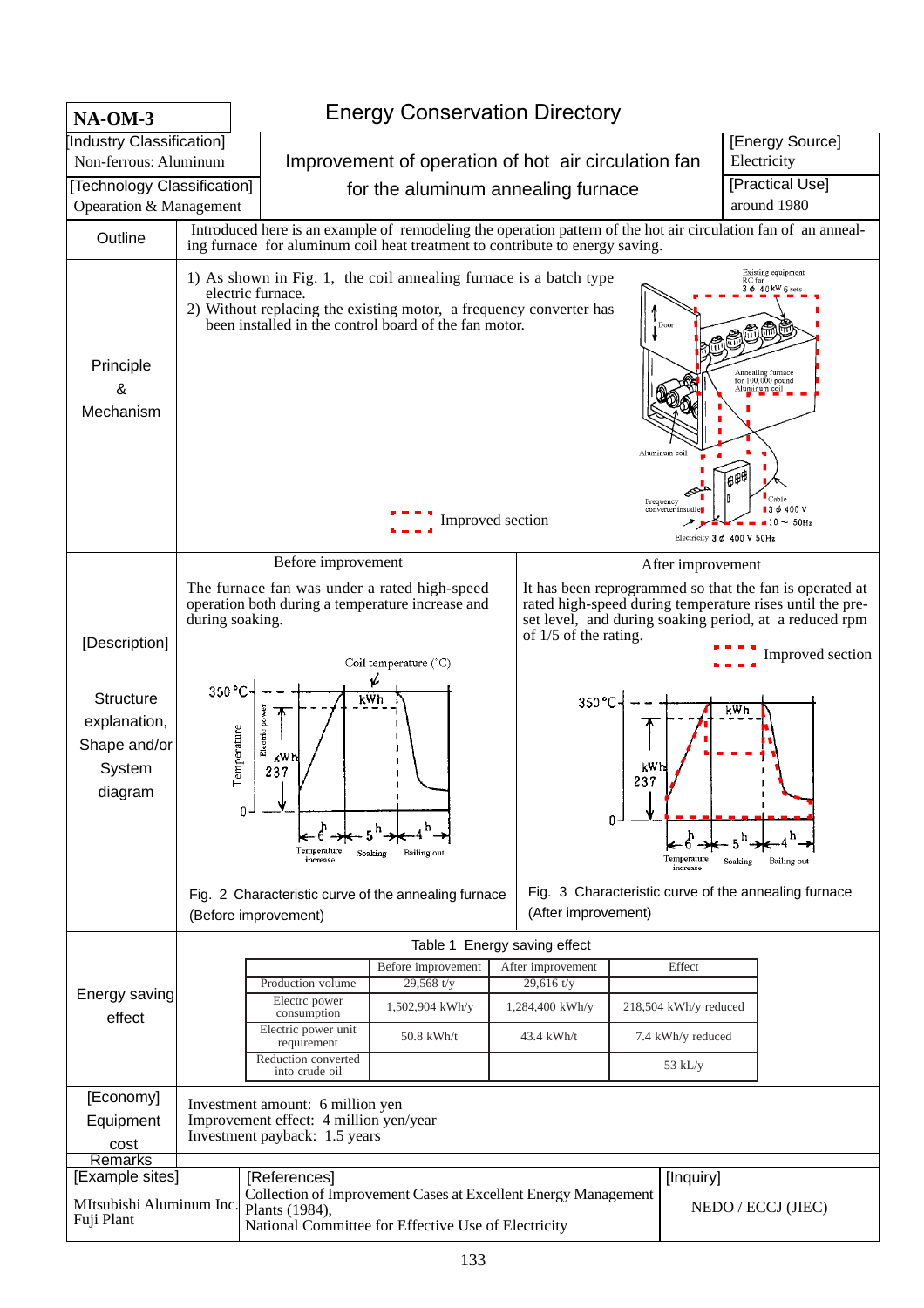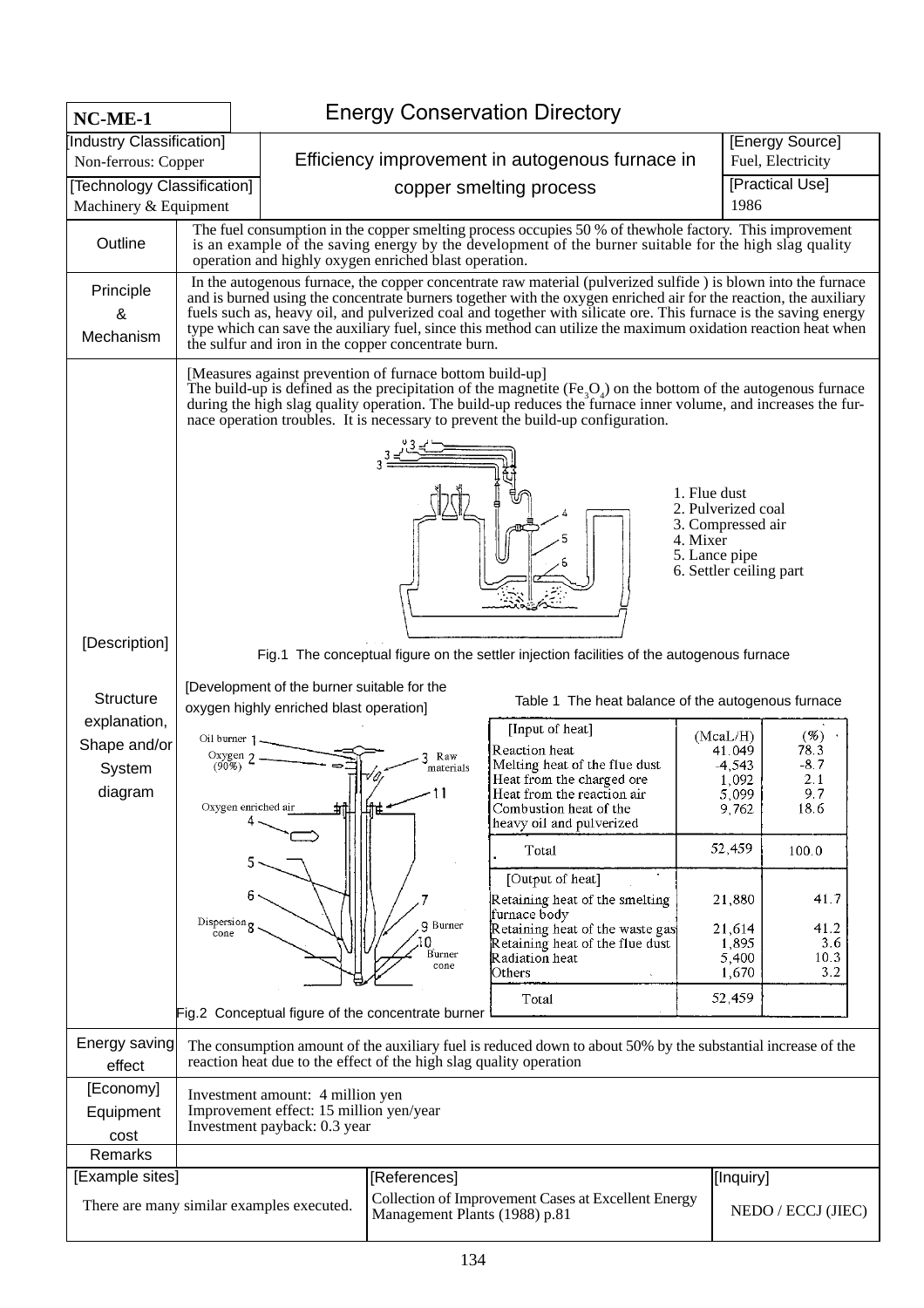| NC-ME-1                           | <b>Energy Conservation Directory</b>                                     |                                                                                                                                                                                                                                                                                                                                                                                                                                                                                                                                |                                                                    |                                                                                                                                                                                                                                                                                                                     |                                                                                                                 |                                                                                   |  |  |  |  |  |
|-----------------------------------|--------------------------------------------------------------------------|--------------------------------------------------------------------------------------------------------------------------------------------------------------------------------------------------------------------------------------------------------------------------------------------------------------------------------------------------------------------------------------------------------------------------------------------------------------------------------------------------------------------------------|--------------------------------------------------------------------|---------------------------------------------------------------------------------------------------------------------------------------------------------------------------------------------------------------------------------------------------------------------------------------------------------------------|-----------------------------------------------------------------------------------------------------------------|-----------------------------------------------------------------------------------|--|--|--|--|--|
| Industry Classification]          |                                                                          |                                                                                                                                                                                                                                                                                                                                                                                                                                                                                                                                |                                                                    | [Energy Source]                                                                                                                                                                                                                                                                                                     |                                                                                                                 |                                                                                   |  |  |  |  |  |
| Non-ferrous: Copper               |                                                                          |                                                                                                                                                                                                                                                                                                                                                                                                                                                                                                                                |                                                                    | Efficiency improvement in autogenous furnace in                                                                                                                                                                                                                                                                     |                                                                                                                 | Fuel, Electricity                                                                 |  |  |  |  |  |
| [Technology Classification]       |                                                                          |                                                                                                                                                                                                                                                                                                                                                                                                                                                                                                                                |                                                                    | [Practical Use]                                                                                                                                                                                                                                                                                                     |                                                                                                                 |                                                                                   |  |  |  |  |  |
| Machinery & Equipment             |                                                                          |                                                                                                                                                                                                                                                                                                                                                                                                                                                                                                                                |                                                                    |                                                                                                                                                                                                                                                                                                                     |                                                                                                                 | 1986                                                                              |  |  |  |  |  |
| Outline                           |                                                                          | The fuel consumption in the copper smelting process occupies 50 % of thewhole factory. This improvement<br>is an example of the saving energy by the development of the burner suitable for the high slag quality<br>operation and highly oxygen enriched blast operation.                                                                                                                                                                                                                                                     |                                                                    |                                                                                                                                                                                                                                                                                                                     |                                                                                                                 |                                                                                   |  |  |  |  |  |
| Principle<br>&<br>Mechanism       |                                                                          | In the autogenous furnace, the copper concentrate raw material (pulverized sulfide) is blown into the furnace<br>and is burned using the concentrate burners together with the oxygen enriched air for the reaction, the auxiliary<br>fuels such as, heavy oil, and pulverized coal and together with silicate ore. This furnace is the saving energy<br>type which can save the auxiliary fuel, since this method can utilize the maximum oxidation reaction heat when<br>the sulfur and iron in the copper concentrate burn. |                                                                    |                                                                                                                                                                                                                                                                                                                     |                                                                                                                 |                                                                                   |  |  |  |  |  |
|                                   |                                                                          |                                                                                                                                                                                                                                                                                                                                                                                                                                                                                                                                | [Measures against prevention of furnace bottom build-up]           | The build-up is defined as the precipitation of the magnetite $(Fe3Oa)$ on the bottom of the autogenous furnace<br>during the high slag quality operation. The build-up reduces the furnace inner volume, and increases the fur-<br>nace operation troubles. It is necessary to prevent the build-up configuration. | 1. Flue dust<br>2. Pulverized coal<br>3. Compressed air<br>4. Mixer<br>5. Lance pipe<br>6. Settler ceiling part |                                                                                   |  |  |  |  |  |
| [Description]                     |                                                                          | Fig.1 The conceptual figure on the settler injection facilities of the autogenous furnace                                                                                                                                                                                                                                                                                                                                                                                                                                      |                                                                    |                                                                                                                                                                                                                                                                                                                     |                                                                                                                 |                                                                                   |  |  |  |  |  |
| <b>Structure</b><br>explanation,  |                                                                          | [Development of the burner suitable for the<br>oxygen highly enriched blast operation]                                                                                                                                                                                                                                                                                                                                                                                                                                         |                                                                    | Table 1 The heat balance of the autogenous furnace                                                                                                                                                                                                                                                                  |                                                                                                                 |                                                                                   |  |  |  |  |  |
| Shape and/or<br>System<br>diagram | Oil burner $\,$ 1.<br>Oxygen $\gamma$<br>$(90\%)$<br>Oxygen enriched air |                                                                                                                                                                                                                                                                                                                                                                                                                                                                                                                                | Raw<br>materials<br>- 11                                           | [Input of heat]<br>Reaction heat<br>Melting heat of the flue dust<br>Heat from the charged ore<br>Heat from the reaction air<br>Combustion heat of the<br>heavy oil and pulverized                                                                                                                                  | (McaL/H)<br>41.049<br>$-4,543$<br>1,092<br>5,099<br>9,762                                                       | (%)<br>78.3<br>$-8.7$<br>2.1<br>9.7<br>18.6                                       |  |  |  |  |  |
|                                   |                                                                          |                                                                                                                                                                                                                                                                                                                                                                                                                                                                                                                                |                                                                    | Total                                                                                                                                                                                                                                                                                                               | 52,459                                                                                                          | 100.0                                                                             |  |  |  |  |  |
|                                   | Dispersion<br>cone                                                       |                                                                                                                                                                                                                                                                                                                                                                                                                                                                                                                                | <b>9</b> Burner<br>Burner<br>cone                                  | [Output of heat]<br>Retaining heat of the smelting<br>furnace body<br>Retaining heat of the waste gas<br>Retaining heat of the flue dust<br>Radiation heat<br>Others                                                                                                                                                |                                                                                                                 | 21,880<br>41.7<br>41.2<br>21,614<br>1,895<br>3.6<br>5,400<br>10.3<br>1,670<br>3.2 |  |  |  |  |  |
|                                   |                                                                          |                                                                                                                                                                                                                                                                                                                                                                                                                                                                                                                                |                                                                    | Total                                                                                                                                                                                                                                                                                                               | 52,459                                                                                                          |                                                                                   |  |  |  |  |  |
|                                   |                                                                          |                                                                                                                                                                                                                                                                                                                                                                                                                                                                                                                                | Fig.2 Conceptual figure of the concentrate burner                  |                                                                                                                                                                                                                                                                                                                     |                                                                                                                 |                                                                                   |  |  |  |  |  |
| Energy saving<br>effect           |                                                                          |                                                                                                                                                                                                                                                                                                                                                                                                                                                                                                                                | reaction heat due to the effect of the high slag quality operation | The consumption amount of the auxiliary fuel is reduced down to about 50% by the substantial increase of the                                                                                                                                                                                                        |                                                                                                                 |                                                                                   |  |  |  |  |  |
| [Economy]<br>Equipment<br>cost    |                                                                          | Investment amount: 4 million yen<br>Improvement effect: 15 million yen/year<br>Investment payback: 0.3 year                                                                                                                                                                                                                                                                                                                                                                                                                    |                                                                    |                                                                                                                                                                                                                                                                                                                     |                                                                                                                 |                                                                                   |  |  |  |  |  |
| Remarks                           |                                                                          |                                                                                                                                                                                                                                                                                                                                                                                                                                                                                                                                |                                                                    |                                                                                                                                                                                                                                                                                                                     |                                                                                                                 |                                                                                   |  |  |  |  |  |
| [Example sites]                   |                                                                          | There are many similar examples executed.                                                                                                                                                                                                                                                                                                                                                                                                                                                                                      | [References]<br>Management Plants (1988) p.81                      | Collection of Improvement Cases at Excellent Energy                                                                                                                                                                                                                                                                 | [[Inquiry]                                                                                                      | NEDO / ECCJ (JIEC)                                                                |  |  |  |  |  |
|                                   |                                                                          |                                                                                                                                                                                                                                                                                                                                                                                                                                                                                                                                |                                                                    |                                                                                                                                                                                                                                                                                                                     |                                                                                                                 |                                                                                   |  |  |  |  |  |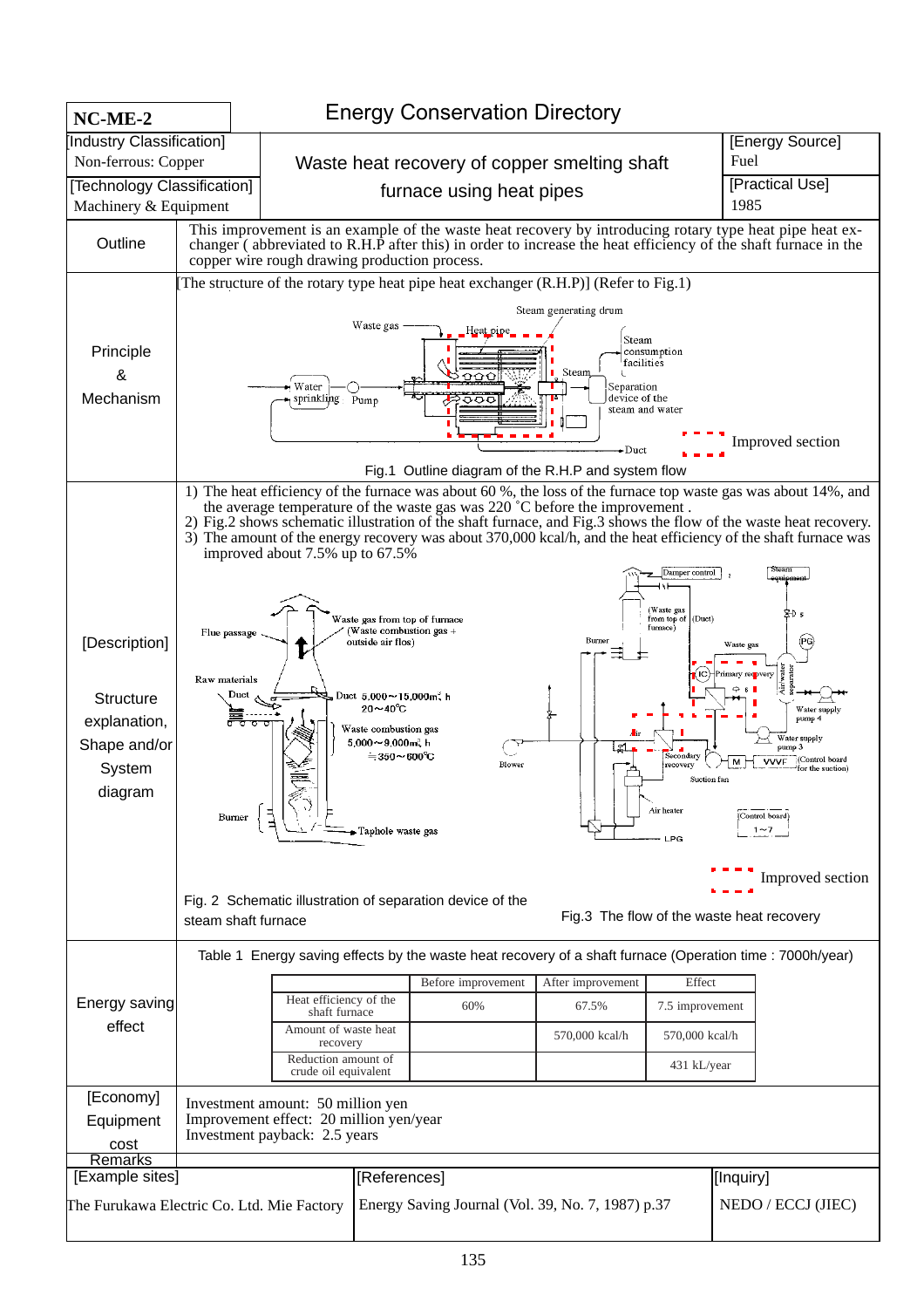